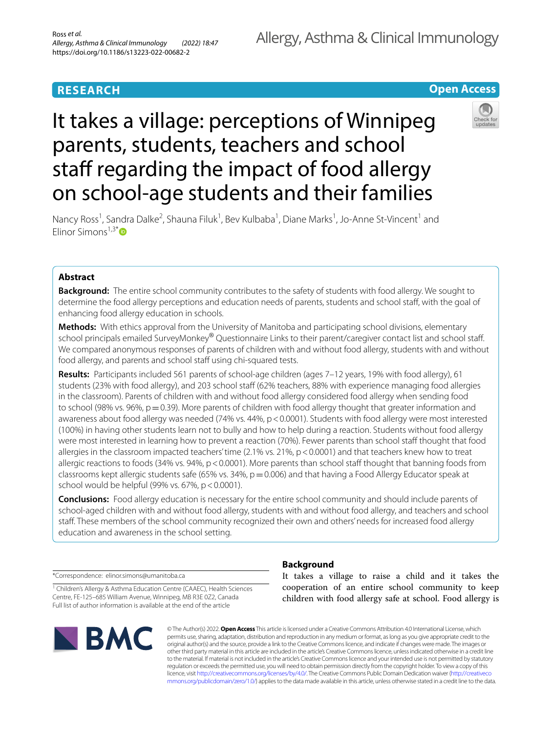# **RESEARCH**

# **Open Access**

# It takes a village: perceptions of Winnipeg parents, students, teachers and school staff regarding the impact of food allergy on school-age students and their families



Nancy Ross<sup>1</sup>, Sandra Dalke<sup>2</sup>, Shauna Filuk<sup>1</sup>, Bev Kulbaba<sup>1</sup>, Diane Marks<sup>1</sup>, Jo-Anne St-Vincent<sup>1</sup> and Flinor Simons $1,3^*$ 

# **Abstract**

**Background:** The entire school community contributes to the safety of students with food allergy. We sought to determine the food allergy perceptions and education needs of parents, students and school staf, with the goal of enhancing food allergy education in schools.

**Methods:** With ethics approval from the University of Manitoba and participating school divisions, elementary school principals emailed SurveyMonkey® Questionnaire Links to their parent/caregiver contact list and school staff. We compared anonymous responses of parents of children with and without food allergy, students with and without food allergy, and parents and school staff using chi-squared tests.

**Results:** Participants included 561 parents of school-age children (ages 7–12 years, 19% with food allergy), 61 students (23% with food allergy), and 203 school staf (62% teachers, 88% with experience managing food allergies in the classroom). Parents of children with and without food allergy considered food allergy when sending food to school (98% vs. 96%,  $p = 0.39$ ). More parents of children with food allergy thought that greater information and awareness about food allergy was needed (74% vs. 44%, p < 0.0001). Students with food allergy were most interested (100%) in having other students learn not to bully and how to help during a reaction. Students without food allergy were most interested in learning how to prevent a reaction (70%). Fewer parents than school staff thought that food allergies in the classroom impacted teachers' time (2.1% vs. 21%, p<0.0001) and that teachers knew how to treat allergic reactions to foods (34% vs. 94%, p < 0.0001). More parents than school staff thought that banning foods from classrooms kept allergic students safe (65% vs. 34%,  $p=0.006$ ) and that having a Food Allergy Educator speak at school would be helpful (99% vs.  $67\%$ , p < 0.0001).

**Conclusions:** Food allergy education is necessary for the entire school community and should include parents of school-aged children with and without food allergy, students with and without food allergy, and teachers and school staff. These members of the school community recognized their own and others' needs for increased food allergy education and awareness in the school setting.

\*Correspondence: elinor.simons@umanitoba.ca

<sup>1</sup> Children's Allergy & Asthma Education Centre (CAAEC), Health Sciences Centre, FE‑125–685 William Avenue, Winnipeg, MB R3E 0Z2, Canada Full list of author information is available at the end of the article



# **Background**

It takes a village to raise a child and it takes the cooperation of an entire school community to keep children with food allergy safe at school. Food allergy is

© The Author(s) 2022. **Open Access** This article is licensed under a Creative Commons Attribution 4.0 International License, which permits use, sharing, adaptation, distribution and reproduction in any medium or format, as long as you give appropriate credit to the original author(s) and the source, provide a link to the Creative Commons licence, and indicate if changes were made. The images or other third party material in this article are included in the article's Creative Commons licence, unless indicated otherwise in a credit line to the material. If material is not included in the article's Creative Commons licence and your intended use is not permitted by statutory regulation or exceeds the permitted use, you will need to obtain permission directly from the copyright holder. To view a copy of this licence, visit [http://creativecommons.org/licenses/by/4.0/.](http://creativecommons.org/licenses/by/4.0/) The Creative Commons Public Domain Dedication waiver ([http://creativeco](http://creativecommons.org/publicdomain/zero/1.0/) [mmons.org/publicdomain/zero/1.0/](http://creativecommons.org/publicdomain/zero/1.0/)) applies to the data made available in this article, unless otherwise stated in a credit line to the data.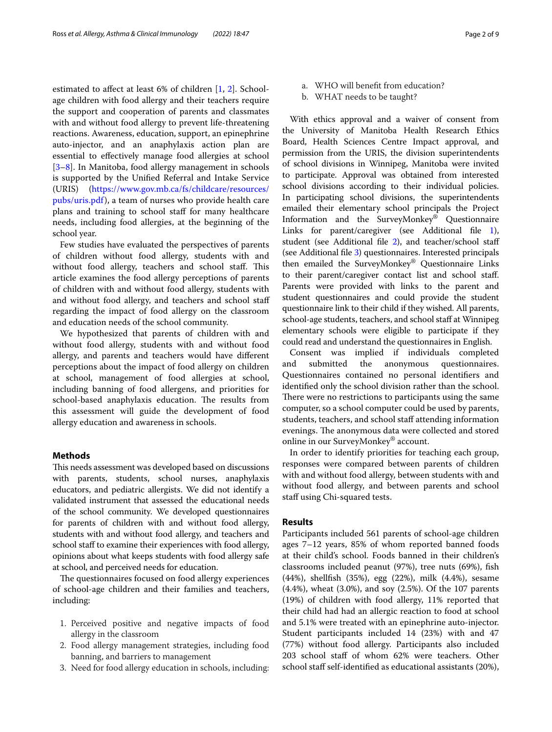estimated to affect at least 6% of children [\[1](#page-7-0), [2\]](#page-7-1). Schoolage children with food allergy and their teachers require the support and cooperation of parents and classmates with and without food allergy to prevent life-threatening reactions. Awareness, education, support, an epinephrine auto-injector, and an anaphylaxis action plan are essential to efectively manage food allergies at school [[3–](#page-8-0)[8\]](#page-8-1). In Manitoba, food allergy management in schools is supported by the Unifed Referral and Intake Service (URIS) [\(https://www.gov.mb.ca/fs/childcare/resources/](https://www.gov.mb.ca/fs/childcare/resources/pubs/uris.pdf) [pubs/uris.pdf\)](https://www.gov.mb.ca/fs/childcare/resources/pubs/uris.pdf), a team of nurses who provide health care plans and training to school staf for many healthcare needs, including food allergies, at the beginning of the school year.

Few studies have evaluated the perspectives of parents of children without food allergy, students with and without food allergy, teachers and school staff. This article examines the food allergy perceptions of parents of children with and without food allergy, students with and without food allergy, and teachers and school staf regarding the impact of food allergy on the classroom and education needs of the school community.

We hypothesized that parents of children with and without food allergy, students with and without food allergy, and parents and teachers would have diferent perceptions about the impact of food allergy on children at school, management of food allergies at school, including banning of food allergens, and priorities for school-based anaphylaxis education. The results from this assessment will guide the development of food allergy education and awareness in schools.

#### **Methods**

This needs assessment was developed based on discussions with parents, students, school nurses, anaphylaxis educators, and pediatric allergists. We did not identify a validated instrument that assessed the educational needs of the school community. We developed questionnaires for parents of children with and without food allergy, students with and without food allergy, and teachers and school staff to examine their experiences with food allergy, opinions about what keeps students with food allergy safe at school, and perceived needs for education.

The questionnaires focused on food allergy experiences of school-age children and their families and teachers, including:

- 1. Perceived positive and negative impacts of food allergy in the classroom
- 2. Food allergy management strategies, including food banning, and barriers to management
- 3. Need for food allergy education in schools, including:
- a. WHO will beneft from education?
- b. WHAT needs to be taught?

With ethics approval and a waiver of consent from the University of Manitoba Health Research Ethics Board, Health Sciences Centre Impact approval, and permission from the URIS, the division superintendents of school divisions in Winnipeg, Manitoba were invited to participate. Approval was obtained from interested school divisions according to their individual policies. In participating school divisions, the superintendents emailed their elementary school principals the Project Information and the SurveyMonkey® Questionnaire Links for parent/caregiver (see Additional file [1](#page-7-2)), student (see Additional file [2](#page-7-3)), and teacher/school staff (see Additional fle [3](#page-7-4)) questionnaires. Interested principals then emailed the SurveyMonkey® Questionnaire Links to their parent/caregiver contact list and school staf. Parents were provided with links to the parent and student questionnaires and could provide the student questionnaire link to their child if they wished. All parents, school-age students, teachers, and school staff at Winnipeg elementary schools were eligible to participate if they could read and understand the questionnaires in English.

Consent was implied if individuals completed and submitted the anonymous questionnaires. Questionnaires contained no personal identifers and identifed only the school division rather than the school. There were no restrictions to participants using the same computer, so a school computer could be used by parents, students, teachers, and school staff attending information evenings. The anonymous data were collected and stored online in our SurveyMonkey® account.

In order to identify priorities for teaching each group, responses were compared between parents of children with and without food allergy, between students with and without food allergy, and between parents and school staff using Chi-squared tests.

#### **Results**

Participants included 561 parents of school-age children ages 7–12 years, 85% of whom reported banned foods at their child's school. Foods banned in their children's classrooms included peanut (97%), tree nuts (69%), fsh (44%), shellfsh (35%), egg (22%), milk (4.4%), sesame (4.4%), wheat (3.0%), and soy (2.5%). Of the 107 parents (19%) of children with food allergy, 11% reported that their child had had an allergic reaction to food at school and 5.1% were treated with an epinephrine auto-injector. Student participants included 14 (23%) with and 47 (77%) without food allergy. Participants also included 203 school staff of whom 62% were teachers. Other school staff self-identified as educational assistants (20%),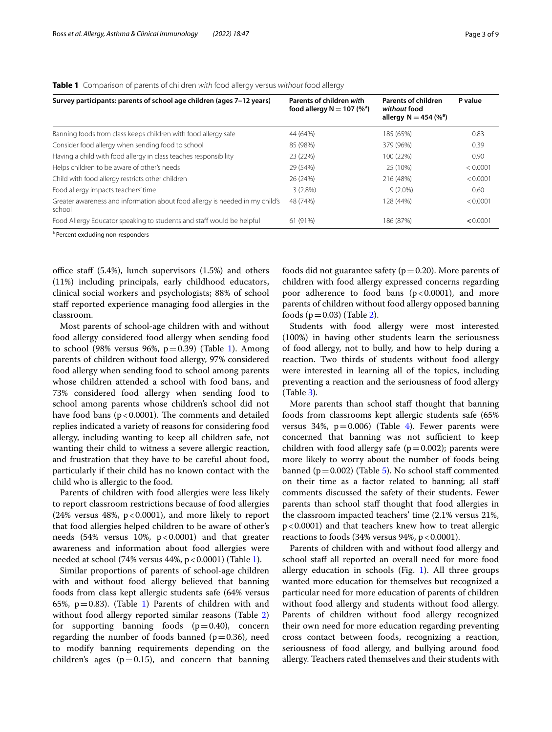<span id="page-2-0"></span>**Table 1** Comparison of parents of children *with* food allergy versus *without* food allergy

| Survey participants: parents of school age children (ages 7-12 years)                  | Parents of children with<br>food allergy $N = 107$ (% <sup>a</sup> ) | <b>Parents of children</b><br>without food<br>allergy $N = 454 (%^a)$ | P value  |
|----------------------------------------------------------------------------------------|----------------------------------------------------------------------|-----------------------------------------------------------------------|----------|
| Banning foods from class keeps children with food allergy safe                         | 44 (64%)                                                             | 185 (65%)                                                             | 0.83     |
| Consider food allergy when sending food to school                                      | 85 (98%)                                                             | 379 (96%)                                                             | 0.39     |
| Having a child with food allergy in class teaches responsibility                       | 23 (22%)                                                             | 100 (22%)                                                             | 0.90     |
| Helps children to be aware of other's needs                                            | 29 (54%)                                                             | 25 (10%)                                                              | < 0.0001 |
| Child with food allergy restricts other children                                       | 26 (24%)                                                             | 216 (48%)                                                             | < 0.0001 |
| Food allergy impacts teachers' time                                                    | 3(2.8%)                                                              | $9(2.0\%)$                                                            | 0.60     |
| Greater awareness and information about food allergy is needed in my child's<br>school | 48 (74%)                                                             | 128 (44%)                                                             | < 0.0001 |
| Food Allergy Educator speaking to students and staff would be helpful                  | 61 (91%)                                                             | 186 (87%)                                                             | < 0.0001 |

<sup>a</sup> Percent excluding non-responders

office staff  $(5.4%)$ , lunch supervisors  $(1.5%)$  and others (11%) including principals, early childhood educators, clinical social workers and psychologists; 88% of school staff reported experience managing food allergies in the classroom.

Most parents of school-age children with and without food allergy considered food allergy when sending food to school (98% versus 96%,  $p=0.39$ ) (Table [1\)](#page-2-0). Among parents of children without food allergy, 97% considered food allergy when sending food to school among parents whose children attended a school with food bans, and 73% considered food allergy when sending food to school among parents whose children's school did not have food bans ( $p < 0.0001$ ). The comments and detailed replies indicated a variety of reasons for considering food allergy, including wanting to keep all children safe, not wanting their child to witness a severe allergic reaction, and frustration that they have to be careful about food, particularly if their child has no known contact with the child who is allergic to the food.

Parents of children with food allergies were less likely to report classroom restrictions because of food allergies (24% versus 48%,  $p < 0.0001$ ), and more likely to report that food allergies helped children to be aware of other's needs (54% versus 10%, p < 0.0001) and that greater awareness and information about food allergies were needed at school (74% versus 44%,  $p < 0.0001$ ) (Table [1](#page-2-0)).

Similar proportions of parents of school-age children with and without food allergy believed that banning foods from class kept allergic students safe (64% versus 65%,  $p=0.83$ ). (Table [1\)](#page-2-0) Parents of children with and without food allergy reported similar reasons (Table [2](#page-3-0)) for supporting banning foods  $(p=0.40)$ , concern regarding the number of foods banned ( $p=0.36$ ), need to modify banning requirements depending on the children's ages ( $p=0.15$ ), and concern that banning foods did not guarantee safety ( $p=0.20$ ). More parents of children with food allergy expressed concerns regarding poor adherence to food bans  $(p<0.0001)$ , and more parents of children without food allergy opposed banning foods  $(p=0.03)$  (Table [2](#page-3-0)).

Students with food allergy were most interested (100%) in having other students learn the seriousness of food allergy, not to bully, and how to help during a reaction. Two thirds of students without food allergy were interested in learning all of the topics, including preventing a reaction and the seriousness of food allergy (Table [3\)](#page-4-0).

More parents than school staf thought that banning foods from classrooms kept allergic students safe (65% versus 3[4](#page-4-1)%,  $p=0.006$ ) (Table 4). Fewer parents were concerned that banning was not sufficient to keep children with food allergy safe ( $p=0.002$ ); parents were more likely to worry about the number of foods being banned ( $p=0.002$ ) (Table [5](#page-5-0)). No school staff commented on their time as a factor related to banning; all staf comments discussed the safety of their students. Fewer parents than school staff thought that food allergies in the classroom impacted teachers' time (2.1% versus 21%, p<0.0001) and that teachers knew how to treat allergic reactions to foods  $(34\% \text{ versus } 94\%, \text{ p} < 0.0001).$ 

Parents of children with and without food allergy and school staf all reported an overall need for more food allergy education in schools (Fig. [1](#page-6-0)). All three groups wanted more education for themselves but recognized a particular need for more education of parents of children without food allergy and students without food allergy. Parents of children without food allergy recognized their own need for more education regarding preventing cross contact between foods, recognizing a reaction, seriousness of food allergy, and bullying around food allergy. Teachers rated themselves and their students with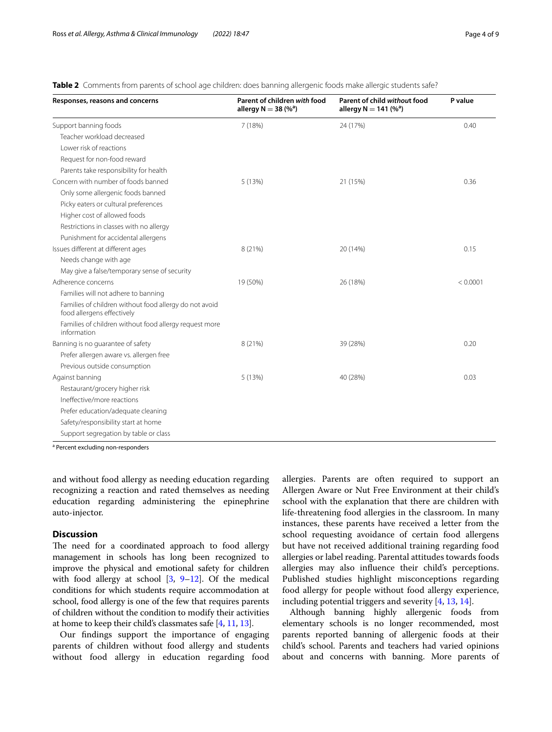### <span id="page-3-0"></span>**Table 2** Comments from parents of school age children: does banning allergenic foods make allergic students safe?

| Responses, reasons and concerns                                                      | Parent of children with food<br>allergy $N = 38 (%^a)$ | Parent of child without food<br>allergy $N = 141$ (% <sup>a</sup> ) | P value  |
|--------------------------------------------------------------------------------------|--------------------------------------------------------|---------------------------------------------------------------------|----------|
| Support banning foods                                                                | 7 (18%)                                                | 24 (17%)                                                            | 0.40     |
| Teacher workload decreased                                                           |                                                        |                                                                     |          |
| Lower risk of reactions                                                              |                                                        |                                                                     |          |
| Request for non-food reward                                                          |                                                        |                                                                     |          |
| Parents take responsibility for health                                               |                                                        |                                                                     |          |
| Concern with number of foods banned                                                  | 5(13%)                                                 | 21 (15%)                                                            | 0.36     |
| Only some allergenic foods banned                                                    |                                                        |                                                                     |          |
| Picky eaters or cultural preferences                                                 |                                                        |                                                                     |          |
| Higher cost of allowed foods                                                         |                                                        |                                                                     |          |
| Restrictions in classes with no allergy                                              |                                                        |                                                                     |          |
| Punishment for accidental allergens                                                  |                                                        |                                                                     |          |
| Issues different at different ages                                                   | 8 (21%)                                                | 20 (14%)                                                            | 0.15     |
| Needs change with age                                                                |                                                        |                                                                     |          |
| May give a false/temporary sense of security                                         |                                                        |                                                                     |          |
| Adherence concerns                                                                   | 19 (50%)                                               | 26 (18%)                                                            | < 0.0001 |
| Families will not adhere to banning                                                  |                                                        |                                                                     |          |
| Families of children without food allergy do not avoid<br>food allergens effectively |                                                        |                                                                     |          |
| Families of children without food allergy request more<br>information                |                                                        |                                                                     |          |
| Banning is no guarantee of safety                                                    | 8 (21%)                                                | 39 (28%)                                                            | 0.20     |
| Prefer allergen aware vs. allergen free                                              |                                                        |                                                                     |          |
| Previous outside consumption                                                         |                                                        |                                                                     |          |
| Against banning                                                                      | 5(13%)                                                 | 40 (28%)                                                            | 0.03     |
| Restaurant/grocery higher risk                                                       |                                                        |                                                                     |          |
| Ineffective/more reactions                                                           |                                                        |                                                                     |          |
| Prefer education/adequate cleaning                                                   |                                                        |                                                                     |          |
| Safety/responsibility start at home                                                  |                                                        |                                                                     |          |
| Support segregation by table or class                                                |                                                        |                                                                     |          |

<sup>a</sup> Percent excluding non-responders

and without food allergy as needing education regarding recognizing a reaction and rated themselves as needing education regarding administering the epinephrine auto-injector.

## **Discussion**

The need for a coordinated approach to food allergy management in schools has long been recognized to improve the physical and emotional safety for children with food allergy at school [\[3,](#page-8-0) [9](#page-8-2)[–12\]](#page-8-3). Of the medical conditions for which students require accommodation at school, food allergy is one of the few that requires parents of children without the condition to modify their activities at home to keep their child's classmates safe [[4,](#page-8-4) [11,](#page-8-5) [13\]](#page-8-6).

Our fndings support the importance of engaging parents of children without food allergy and students without food allergy in education regarding food allergies. Parents are often required to support an Allergen Aware or Nut Free Environment at their child's school with the explanation that there are children with life-threatening food allergies in the classroom. In many instances, these parents have received a letter from the school requesting avoidance of certain food allergens but have not received additional training regarding food allergies or label reading. Parental attitudes towards foods allergies may also infuence their child's perceptions. Published studies highlight misconceptions regarding food allergy for people without food allergy experience, including potential triggers and severity [\[4](#page-8-4), [13,](#page-8-6) [14](#page-8-7)].

Although banning highly allergenic foods from elementary schools is no longer recommended, most parents reported banning of allergenic foods at their child's school. Parents and teachers had varied opinions about and concerns with banning. More parents of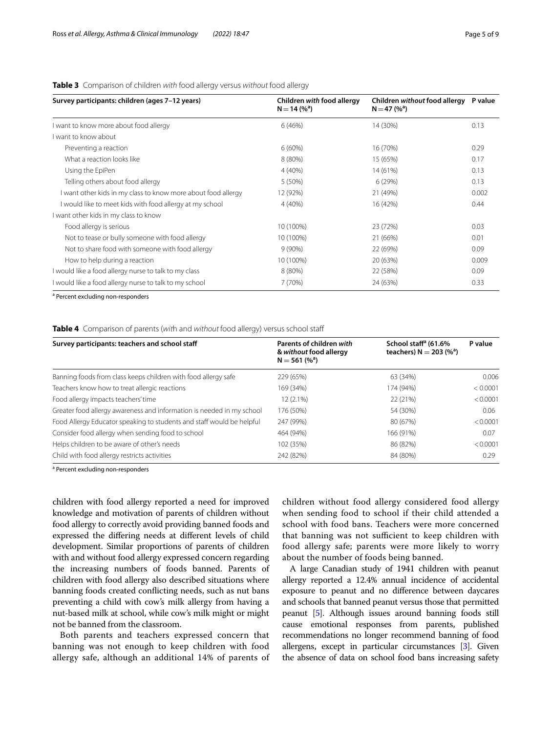#### <span id="page-4-0"></span>**Table 3** Comparison of children *with* food allergy versus *without* food allergy

| Survey participants: children (ages 7-12 years)               | Children with food allergy<br>$N = 14 (%)^a$ | Children without food allergy<br>$N = 47 (%)^a$ | P value |
|---------------------------------------------------------------|----------------------------------------------|-------------------------------------------------|---------|
| want to know more about food allergy                          | 6(46%)                                       | 14 (30%)                                        | 0.13    |
| I want to know about                                          |                                              |                                                 |         |
| Preventing a reaction                                         | $6(60\%)$                                    | 16 (70%)                                        | 0.29    |
| What a reaction looks like                                    | 8 (80%)                                      | 15 (65%)                                        | 0.17    |
| Using the EpiPen                                              | $4(40\%)$                                    | 14 (61%)                                        | 0.13    |
| Telling others about food allergy                             | 5 (50%)                                      | 6(29%)                                          | 0.13    |
| I want other kids in my class to know more about food allergy | 12 (92%)                                     | 21 (49%)                                        | 0.002   |
| I would like to meet kids with food allergy at my school      | $4(40\%)$                                    | 16 (42%)                                        | 0.44    |
| I want other kids in my class to know                         |                                              |                                                 |         |
| Food allergy is serious                                       | 10 (100%)                                    | 23 (72%)                                        | 0.03    |
| Not to tease or bully someone with food allergy               | 10 (100%)                                    | 21 (66%)                                        | 0.01    |
| Not to share food with someone with food allergy              | $9(90\%)$                                    | 22 (69%)                                        | 0.09    |
| How to help during a reaction                                 | 10 (100%)                                    | 20 (63%)                                        | 0.009   |
| I would like a food allergy nurse to talk to my class         | 8 (80%)                                      | 22 (58%)                                        | 0.09    |
| I would like a food allergy nurse to talk to my school        | 7(70%)                                       | 24 (63%)                                        | 0.33    |

<sup>a</sup> Percent excluding non-responders

#### <span id="page-4-1"></span>**Table 4** Comparison of parents (*wit*h and *without* food allergy) versus school staf

| Survey participants: teachers and school staff                        | Parents of children with<br>& without food allergy<br>$N = 561 (%^a)$ | School staff <sup>a</sup> (61.6%<br>teachers) $N = 203 (%^a)$ | P value  |
|-----------------------------------------------------------------------|-----------------------------------------------------------------------|---------------------------------------------------------------|----------|
| Banning foods from class keeps children with food allergy safe        | 229 (65%)                                                             | 63 (34%)                                                      | 0.006    |
| Teachers know how to treat allergic reactions                         | 169 (34%)                                                             | 174 (94%)                                                     | < 0.0001 |
| Food allergy impacts teachers' time                                   | $12(2.1\%)$                                                           | 22 (21%)                                                      | < 0.0001 |
| Greater food allergy awareness and information is needed in my school | 176 (50%)                                                             | 54 (30%)                                                      | 0.06     |
| Food Allergy Educator speaking to students and staff would be helpful | 247 (99%)                                                             | 80 (67%)                                                      | < 0.0001 |
| Consider food allergy when sending food to school                     | 464 (94%)                                                             | 166 (91%)                                                     | 0.07     |
| Helps children to be aware of other's needs                           | 102 (35%)                                                             | 86 (82%)                                                      | < 0.0001 |
| Child with food allergy restricts activities                          | 242 (82%)                                                             | 84 (80%)                                                      | 0.29     |

<sup>a</sup> Percent excluding non-responders

children with food allergy reported a need for improved knowledge and motivation of parents of children without food allergy to correctly avoid providing banned foods and expressed the difering needs at diferent levels of child development. Similar proportions of parents of children with and without food allergy expressed concern regarding the increasing numbers of foods banned. Parents of children with food allergy also described situations where banning foods created conficting needs, such as nut bans preventing a child with cow's milk allergy from having a nut-based milk at school, while cow's milk might or might not be banned from the classroom.

Both parents and teachers expressed concern that banning was not enough to keep children with food allergy safe, although an additional 14% of parents of children without food allergy considered food allergy when sending food to school if their child attended a school with food bans. Teachers were more concerned that banning was not sufficient to keep children with food allergy safe; parents were more likely to worry about the number of foods being banned.

A large Canadian study of 1941 children with peanut allergy reported a 12.4% annual incidence of accidental exposure to peanut and no diference between daycares and schools that banned peanut versus those that permitted peanut [\[5](#page-8-8)]. Although issues around banning foods still cause emotional responses from parents, published recommendations no longer recommend banning of food allergens, except in particular circumstances [[3](#page-8-0)]. Given the absence of data on school food bans increasing safety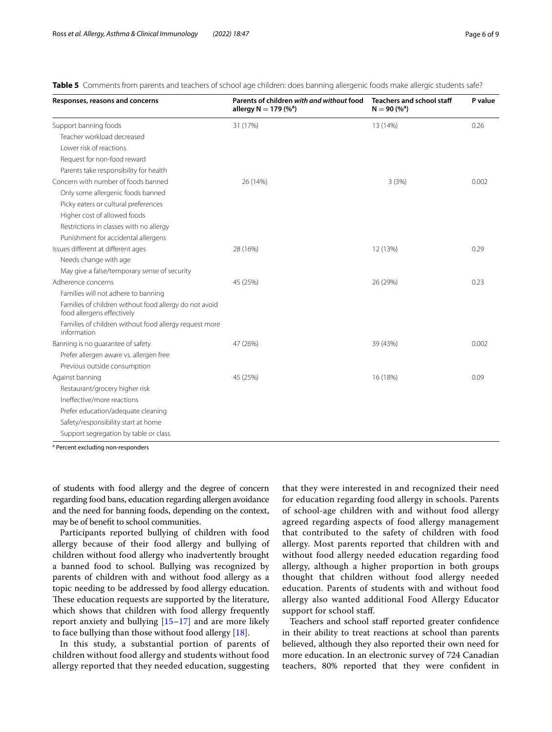| Responses, reasons and concerns                                                      | Parents of children with and without food<br>allergy $N = 179$ (% <sup>a</sup> ) | <b>Teachers and school staff</b><br>$N = 90 (%^a)$ | P value |
|--------------------------------------------------------------------------------------|----------------------------------------------------------------------------------|----------------------------------------------------|---------|
| Support banning foods                                                                | 31 (17%)                                                                         | 13 (14%)                                           | 0.26    |
| Teacher workload decreased                                                           |                                                                                  |                                                    |         |
| Lower risk of reactions                                                              |                                                                                  |                                                    |         |
| Request for non-food reward                                                          |                                                                                  |                                                    |         |
| Parents take responsibility for health                                               |                                                                                  |                                                    |         |
| Concern with number of foods banned                                                  | 26 (14%)                                                                         | 3(3%)                                              | 0.002   |
| Only some allergenic foods banned                                                    |                                                                                  |                                                    |         |
| Picky eaters or cultural preferences                                                 |                                                                                  |                                                    |         |
| Higher cost of allowed foods                                                         |                                                                                  |                                                    |         |
| Restrictions in classes with no allergy                                              |                                                                                  |                                                    |         |
| Punishment for accidental allergens                                                  |                                                                                  |                                                    |         |
| Issues different at different ages                                                   | 28 (16%)                                                                         | 12 (13%)                                           | 0.29    |
| Needs change with age                                                                |                                                                                  |                                                    |         |
| May give a false/temporary sense of security                                         |                                                                                  |                                                    |         |
| Adherence concerns                                                                   | 45 (25%)                                                                         | 26 (29%)                                           | 0.23    |
| Families will not adhere to banning                                                  |                                                                                  |                                                    |         |
| Families of children without food allergy do not avoid<br>food allergens effectively |                                                                                  |                                                    |         |
| Families of children without food allergy request more<br>information                |                                                                                  |                                                    |         |
| Banning is no guarantee of safety                                                    | 47 (26%)                                                                         | 39 (43%)                                           | 0.002   |
| Prefer allergen aware vs. allergen free                                              |                                                                                  |                                                    |         |
| Previous outside consumption                                                         |                                                                                  |                                                    |         |
| Against banning                                                                      | 45 (25%)                                                                         | 16 (18%)                                           | 0.09    |
| Restaurant/grocery higher risk                                                       |                                                                                  |                                                    |         |
| Ineffective/more reactions                                                           |                                                                                  |                                                    |         |
| Prefer education/adequate cleaning                                                   |                                                                                  |                                                    |         |
| Safety/responsibility start at home                                                  |                                                                                  |                                                    |         |
| Support segregation by table or class                                                |                                                                                  |                                                    |         |

#### <span id="page-5-0"></span>**Table 5** Comments from parents and teachers of school age children: does banning allergenic foods make allergic students safe?

<sup>a</sup> Percent excluding non-responders

of students with food allergy and the degree of concern regarding food bans, education regarding allergen avoidance and the need for banning foods, depending on the context, may be of beneft to school communities.

Participants reported bullying of children with food allergy because of their food allergy and bullying of children without food allergy who inadvertently brought a banned food to school. Bullying was recognized by parents of children with and without food allergy as a topic needing to be addressed by food allergy education. These education requests are supported by the literature, which shows that children with food allergy frequently report anxiety and bullying [\[15](#page-8-9)[–17\]](#page-8-10) and are more likely to face bullying than those without food allergy [\[18](#page-8-11)].

In this study, a substantial portion of parents of children without food allergy and students without food allergy reported that they needed education, suggesting

that they were interested in and recognized their need for education regarding food allergy in schools. Parents of school-age children with and without food allergy agreed regarding aspects of food allergy management that contributed to the safety of children with food allergy. Most parents reported that children with and without food allergy needed education regarding food allergy, although a higher proportion in both groups thought that children without food allergy needed education. Parents of students with and without food allergy also wanted additional Food Allergy Educator support for school staff.

Teachers and school staf reported greater confdence in their ability to treat reactions at school than parents believed, although they also reported their own need for more education. In an electronic survey of 724 Canadian teachers, 80% reported that they were confdent in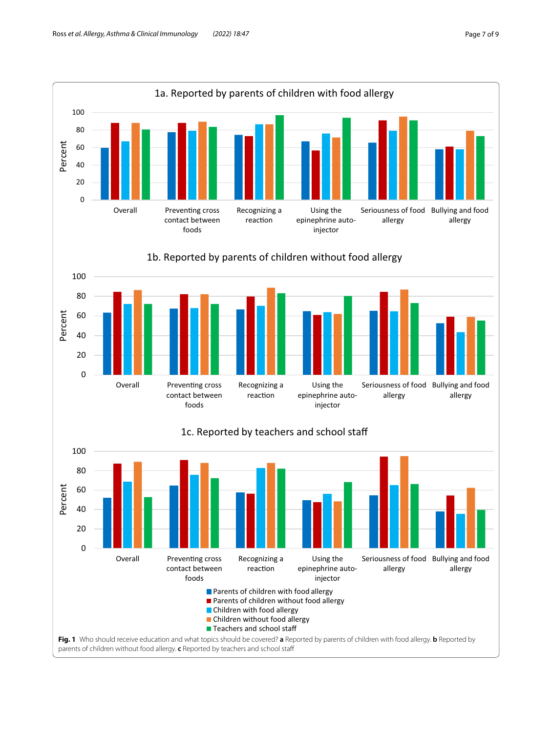<span id="page-6-0"></span>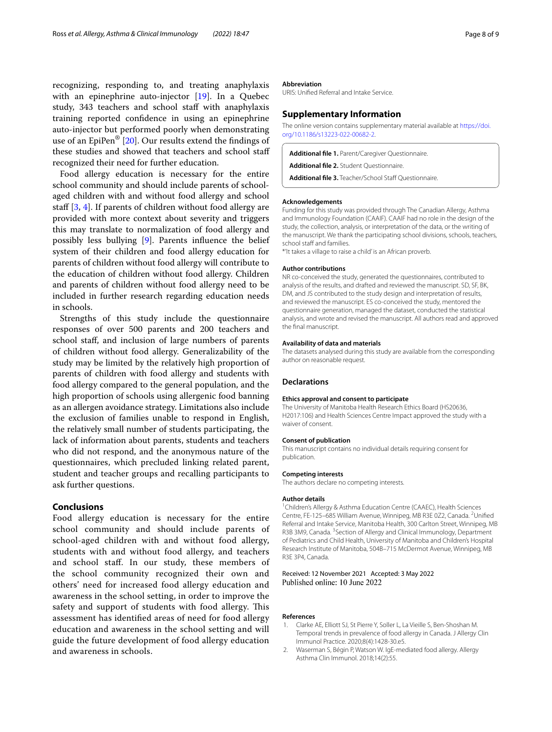recognizing, responding to, and treating anaphylaxis with an epinephrine auto-injector [\[19](#page-8-12)]. In a Quebec study, 343 teachers and school staff with anaphylaxis training reported confdence in using an epinephrine auto-injector but performed poorly when demonstrating use of an EpiPen®  $[20]$ . Our results extend the findings of these studies and showed that teachers and school staf recognized their need for further education.

Food allergy education is necessary for the entire school community and should include parents of schoolaged children with and without food allergy and school staff  $[3, 4]$  $[3, 4]$  $[3, 4]$  $[3, 4]$ . If parents of children without food allergy are provided with more context about severity and triggers this may translate to normalization of food allergy and possibly less bullying [\[9\]](#page-8-2). Parents infuence the belief system of their children and food allergy education for parents of children without food allergy will contribute to the education of children without food allergy. Children and parents of children without food allergy need to be included in further research regarding education needs in schools.

Strengths of this study include the questionnaire responses of over 500 parents and 200 teachers and school staf, and inclusion of large numbers of parents of children without food allergy. Generalizability of the study may be limited by the relatively high proportion of parents of children with food allergy and students with food allergy compared to the general population, and the high proportion of schools using allergenic food banning as an allergen avoidance strategy. Limitations also include the exclusion of families unable to respond in English, the relatively small number of students participating, the lack of information about parents, students and teachers who did not respond, and the anonymous nature of the questionnaires, which precluded linking related parent, student and teacher groups and recalling participants to ask further questions.

#### **Conclusions**

Food allergy education is necessary for the entire school community and should include parents of school-aged children with and without food allergy, students with and without food allergy, and teachers and school staf. In our study, these members of the school community recognized their own and others' need for increased food allergy education and awareness in the school setting, in order to improve the safety and support of students with food allergy. This assessment has identifed areas of need for food allergy education and awareness in the school setting and will guide the future development of food allergy education and awareness in schools.

#### **Abbreviation**

URIS: Unifed Referral and Intake Service.

#### **Supplementary Information**

The online version contains supplementary material available at [https://doi.](https://doi.org/10.1186/s13223-022-00682-2) [org/10.1186/s13223-022-00682-2](https://doi.org/10.1186/s13223-022-00682-2).

<span id="page-7-2"></span>**Additional fle 1.** Parent/Caregiver Questionnaire.

<span id="page-7-4"></span><span id="page-7-3"></span>**Additional fle 2.** Student Questionnaire.

Additional file 3. Teacher/School Staff Questionnaire.

#### **Acknowledgements**

Funding for this study was provided through The Canadian Allergy, Asthma and Immunology Foundation (CAAIF). CAAIF had no role in the design of the study, the collection, analysis, or interpretation of the data, or the writing of the manuscript. We thank the participating school divisions, schools, teachers, school staff and families.

\*'It takes a village to raise a child' is an African proverb.

#### **Author contributions**

NR co-conceived the study, generated the questionnaires, contributed to analysis of the results, and drafted and reviewed the manuscript. SD, SF, BK, DM, and JS contributed to the study design and interpretation of results, and reviewed the manuscript. ES co-conceived the study, mentored the questionnaire generation, managed the dataset, conducted the statistical analysis, and wrote and revised the manuscript. All authors read and approved the fnal manuscript.

#### **Availability of data and materials**

The datasets analysed during this study are available from the corresponding author on reasonable request.

#### **Declarations**

#### **Ethics approval and consent to participate**

The University of Manitoba Health Research Ethics Board (HS20636, H2017:106) and Health Sciences Centre Impact approved the study with a waiver of consent.

#### **Consent of publication**

This manuscript contains no individual details requiring consent for publication.

#### **Competing interests**

The authors declare no competing interests.

#### **Author details**

<sup>1</sup> Children's Allergy & Asthma Education Centre (CAAEC), Health Sciences Centre, FE-125-685 William Avenue, Winnipeg, MB R3E 0Z2, Canada. <sup>2</sup>Unified Referral and Intake Service, Manitoba Health, 300 Carlton Street, Winnipeg, MB R3B 3M9, Canada. <sup>3</sup> Section of Allergy and Clinical Immunology, Department of Pediatrics and Child Health, University of Manitoba and Children's Hospital Research Institute of Manitoba, 504B–715 McDermot Avenue, Winnipeg, MB R3E 3P4, Canada.

#### Received: 12 November 2021 Accepted: 3 May 2022 Published online: 10 June 2022

#### **References**

- <span id="page-7-0"></span>1. Clarke AE, Elliott SJ, St Pierre Y, Soller L, La Vieille S, Ben-Shoshan M. Temporal trends in prevalence of food allergy in Canada. J Allergy Clin Immunol Practice. 2020;8(4):1428-30.e5.
- <span id="page-7-1"></span>2. Waserman S, Bégin P, Watson W. IgE-mediated food allergy. Allergy Asthma Clin Immunol. 2018;14(2):55.